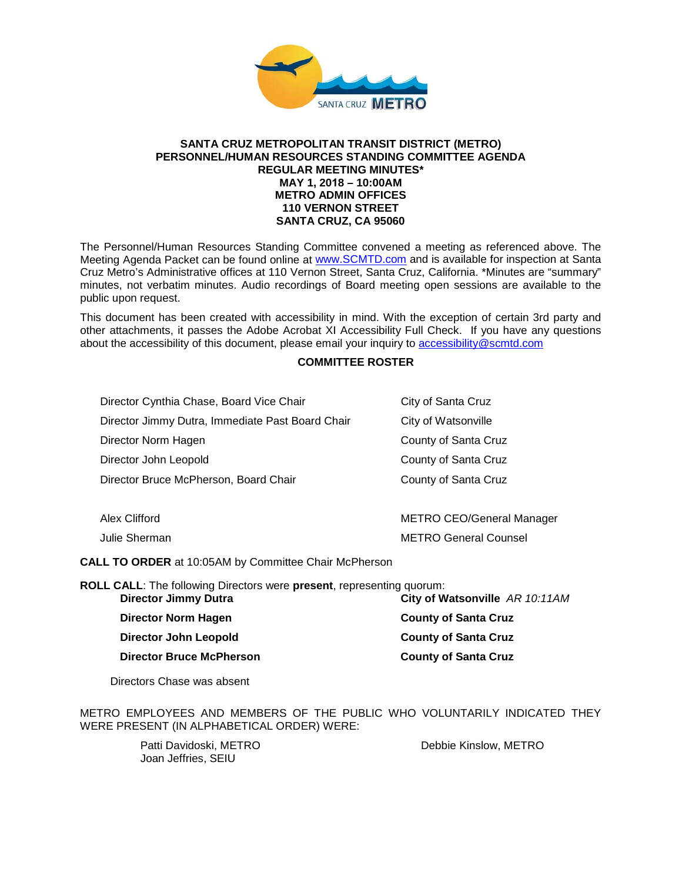

#### **SANTA CRUZ METROPOLITAN TRANSIT DISTRICT (METRO) PERSONNEL/HUMAN RESOURCES STANDING COMMITTEE AGENDA REGULAR MEETING MINUTES\* MAY 1, 2018 – 10:00AM METRO ADMIN OFFICES 110 VERNON STREET SANTA CRUZ, CA 95060**

The Personnel/Human Resources Standing Committee convened a meeting as referenced above. The Meeting Agenda Packet can be found online at [www.SCMTD.com](http://www.scmtd.com/) and is available for inspection at Santa Cruz Metro's Administrative offices at 110 Vernon Street, Santa Cruz, California. \*Minutes are "summary" minutes, not verbatim minutes. Audio recordings of Board meeting open sessions are available to the public upon request.

This document has been created with accessibility in mind. With the exception of certain 3rd party and other attachments, it passes the Adobe Acrobat XI Accessibility Full Check. If you have any questions about the accessibility of this document, please email your inquiry to [accessibility@scmtd.com](mailto:accessibility@scmtd.com)

## **COMMITTEE ROSTER**

| Director Cynthia Chase, Board Vice Chair         | City of Santa Cruz               |  |
|--------------------------------------------------|----------------------------------|--|
| Director Jimmy Dutra, Immediate Past Board Chair | City of Watsonville              |  |
| Director Norm Hagen                              | County of Santa Cruz             |  |
| Director John Leopold                            | County of Santa Cruz             |  |
| Director Bruce McPherson, Board Chair            | County of Santa Cruz             |  |
|                                                  |                                  |  |
| Alex Clifford                                    | <b>METRO CEO/General Manager</b> |  |
| Julie Sherman                                    | <b>METRO General Counsel</b>     |  |

**CALL TO ORDER** at 10:05AM by Committee Chair McPherson

**ROLL CALL**: The following Directors were **present**, representing quorum: **City of Watsonville** *AR 10:11AM* 

| Director Norm Hagen      | <b>County of Santa Cruz</b> |
|--------------------------|-----------------------------|
| Director John Leopold    | <b>County of Santa Cruz</b> |
| Director Bruce McPherson | <b>County of Santa Cruz</b> |

Directors Chase was absent

METRO EMPLOYEES AND MEMBERS OF THE PUBLIC WHO VOLUNTARILY INDICATED THEY WERE PRESENT (IN ALPHABETICAL ORDER) WERE:

> Patti Davidoski, METRO Joan Jeffries, SEIU

Debbie Kinslow, METRO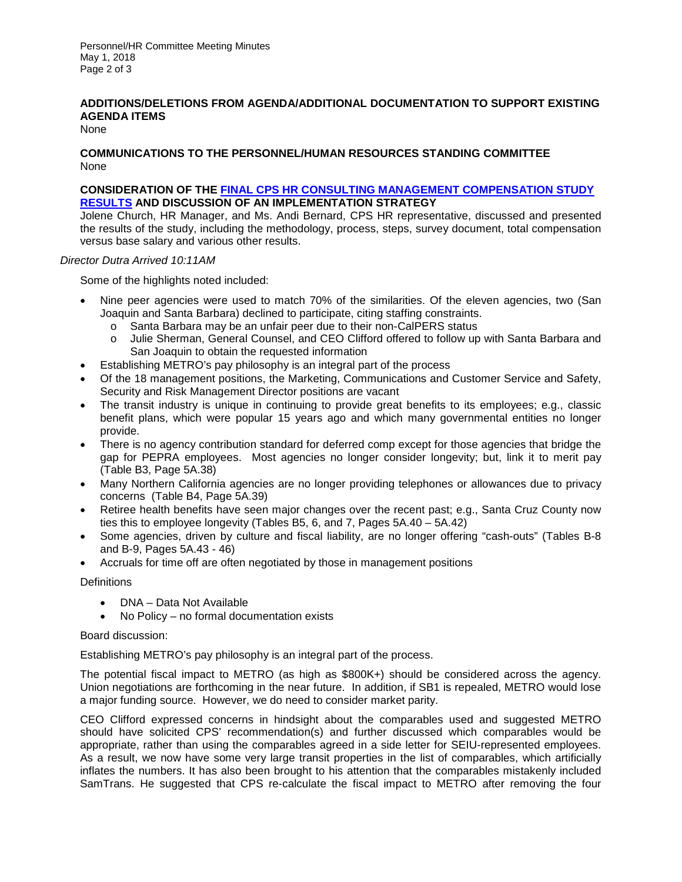Personnel/HR Committee Meeting Minutes May 1, 2018 Page 2 of 3

## **ADDITIONS/DELETIONS FROM AGENDA/ADDITIONAL DOCUMENTATION TO SUPPORT EXISTING AGENDA ITEMS**

None

### **COMMUNICATIONS TO THE PERSONNEL/HUMAN RESOURCES STANDING COMMITTEE** None

### **CONSIDERATION OF THE [FINAL CPS HR CONSULTING MANAGEMENT COMPENSATION STUDY](http://scmtd.com/ftp/Admin/05A-CPS-Study-ATT-A.pdf)  [RESULTS](http://scmtd.com/ftp/Admin/05A-CPS-Study-ATT-A.pdf) AND DISCUSSION OF AN IMPLEMENTATION STRATEGY**

Jolene Church, HR Manager, and Ms. Andi Bernard, CPS HR representative, discussed and presented the results of the study, including the methodology, process, steps, survey document, total compensation versus base salary and various other results.

#### *Director Dutra Arrived 10:11AM*

Some of the highlights noted included:

- Nine peer agencies were used to match 70% of the similarities. Of the eleven agencies, two (San Joaquin and Santa Barbara) declined to participate, citing staffing constraints.
	- o Santa Barbara may be an unfair peer due to their non-CalPERS status<br>o Julie Sherman, General Counsel, and CEO Clifford offered to follow up
	- Julie Sherman, General Counsel, and CEO Clifford offered to follow up with Santa Barbara and San Joaquin to obtain the requested information
- Establishing METRO's pay philosophy is an integral part of the process
- Of the 18 management positions, the Marketing, Communications and Customer Service and Safety, Security and Risk Management Director positions are vacant
- The transit industry is unique in continuing to provide great benefits to its employees; e.g., classic benefit plans, which were popular 15 years ago and which many governmental entities no longer provide.
- There is no agency contribution standard for deferred comp except for those agencies that bridge the gap for PEPRA employees. Most agencies no longer consider longevity; but, link it to merit pay (Table B3, Page 5A.38)
- Many Northern California agencies are no longer providing telephones or allowances due to privacy concerns (Table B4, Page 5A.39)
- Retiree health benefits have seen major changes over the recent past; e.g., Santa Cruz County now ties this to employee longevity (Tables B5, 6, and 7, Pages 5A.40 – 5A.42)
- Some agencies, driven by culture and fiscal liability, are no longer offering "cash-outs" (Tables B-8 and B-9, Pages 5A.43 - 46)
- Accruals for time off are often negotiated by those in management positions

## **Definitions**

- DNA Data Not Available
- No Policy no formal documentation exists

#### Board discussion:

Establishing METRO's pay philosophy is an integral part of the process.

The potential fiscal impact to METRO (as high as \$800K+) should be considered across the agency. Union negotiations are forthcoming in the near future. In addition, if SB1 is repealed, METRO would lose a major funding source. However, we do need to consider market parity.

CEO Clifford expressed concerns in hindsight about the comparables used and suggested METRO should have solicited CPS' recommendation(s) and further discussed which comparables would be appropriate, rather than using the comparables agreed in a side letter for SEIU-represented employees. As a result, we now have some very large transit properties in the list of comparables, which artificially inflates the numbers. It has also been brought to his attention that the comparables mistakenly included SamTrans. He suggested that CPS re-calculate the fiscal impact to METRO after removing the four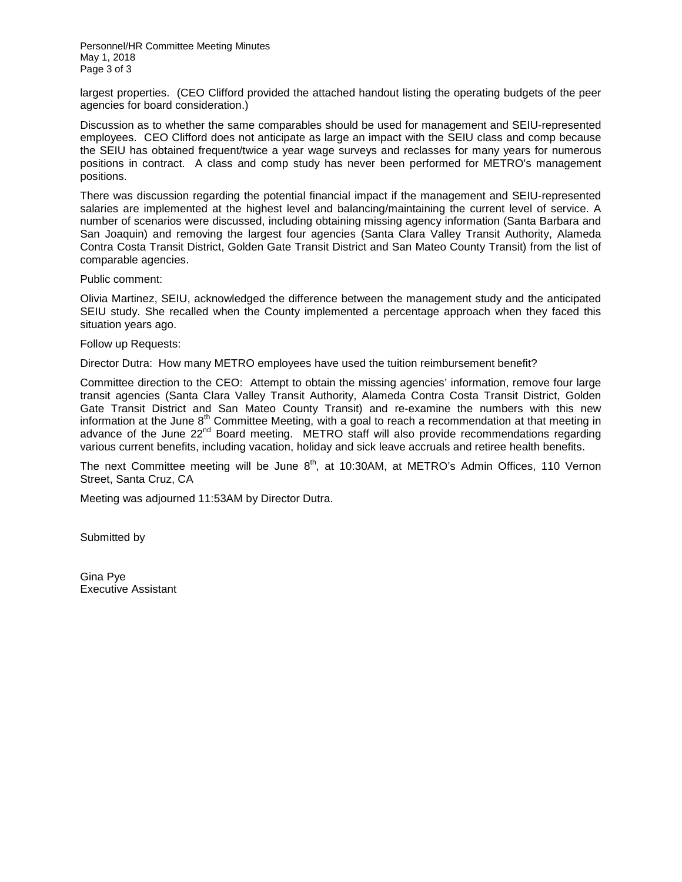Personnel/HR Committee Meeting Minutes May 1, 2018 Page 3 of 3

largest properties. (CEO Clifford provided the attached handout listing the operating budgets of the peer agencies for board consideration.)

Discussion as to whether the same comparables should be used for management and SEIU-represented employees. CEO Clifford does not anticipate as large an impact with the SEIU class and comp because the SEIU has obtained frequent/twice a year wage surveys and reclasses for many years for numerous positions in contract. A class and comp study has never been performed for METRO's management positions.

There was discussion regarding the potential financial impact if the management and SEIU-represented salaries are implemented at the highest level and balancing/maintaining the current level of service. A number of scenarios were discussed, including obtaining missing agency information (Santa Barbara and San Joaquin) and removing the largest four agencies (Santa Clara Valley Transit Authority, Alameda Contra Costa Transit District, Golden Gate Transit District and San Mateo County Transit) from the list of comparable agencies.

Public comment:

Olivia Martinez, SEIU, acknowledged the difference between the management study and the anticipated SEIU study. She recalled when the County implemented a percentage approach when they faced this situation years ago.

Follow up Requests:

Director Dutra: How many METRO employees have used the tuition reimbursement benefit?

Committee direction to the CEO: Attempt to obtain the missing agencies' information, remove four large transit agencies (Santa Clara Valley Transit Authority, Alameda Contra Costa Transit District, Golden Gate Transit District and San Mateo County Transit) and re-examine the numbers with this new information at the June  $8^{th}$  Committee Meeting, with a goal to reach a recommendation at that meeting in advance of the June 22<sup>nd</sup> Board meeting. METRO staff will also provide recommendations regarding various current benefits, including vacation, holiday and sick leave accruals and retiree health benefits.

The next Committee meeting will be June  $8<sup>th</sup>$ , at 10:30AM, at METRO's Admin Offices, 110 Vernon Street, Santa Cruz, CA

Meeting was adjourned 11:53AM by Director Dutra.

Submitted by

Gina Pye Executive Assistant